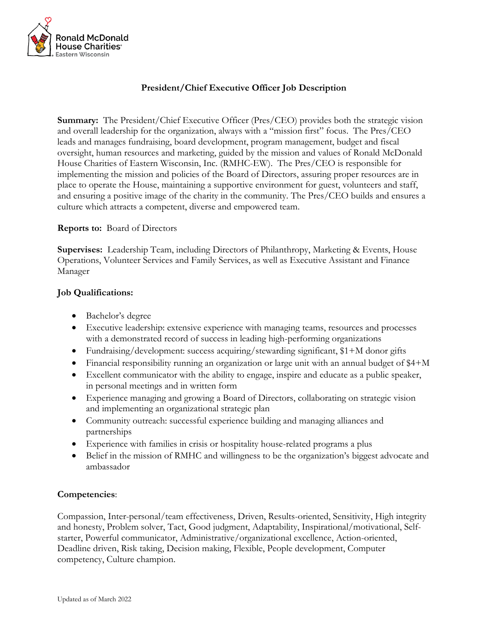

# **President/Chief Executive Officer Job Description**

**Summary:** The President/Chief Executive Officer (Pres/CEO) provides both the strategic vision and overall leadership for the organization, always with a "mission first" focus. The Pres/CEO leads and manages fundraising, board development, program management, budget and fiscal oversight, human resources and marketing, guided by the mission and values of Ronald McDonald House Charities of Eastern Wisconsin, Inc. (RMHC-EW). The Pres/CEO is responsible for implementing the mission and policies of the Board of Directors, assuring proper resources are in place to operate the House, maintaining a supportive environment for guest, volunteers and staff, and ensuring a positive image of the charity in the community. The Pres/CEO builds and ensures a culture which attracts a competent, diverse and empowered team.

#### **Reports to:** Board of Directors

**Supervises:** Leadership Team, including Directors of Philanthropy, Marketing & Events, House Operations, Volunteer Services and Family Services, as well as Executive Assistant and Finance Manager

#### **Job Qualifications:**

- Bachelor's degree
- Executive leadership: extensive experience with managing teams, resources and processes with a demonstrated record of success in leading high-performing organizations
- Fundraising/development: success acquiring/stewarding significant, \$1+M donor gifts
- Financial responsibility running an organization or large unit with an annual budget of \$4+M
- Excellent communicator with the ability to engage, inspire and educate as a public speaker, in personal meetings and in written form
- Experience managing and growing a Board of Directors, collaborating on strategic vision and implementing an organizational strategic plan
- Community outreach: successful experience building and managing alliances and partnerships
- Experience with families in crisis or hospitality house-related programs a plus
- Belief in the mission of RMHC and willingness to be the organization's biggest advocate and ambassador

### **Competencies**:

Compassion, Inter-personal/team effectiveness, Driven, Results-oriented, Sensitivity, High integrity and honesty, Problem solver, Tact, Good judgment, Adaptability, Inspirational/motivational, Selfstarter, Powerful communicator, Administrative/organizational excellence, Action-oriented, Deadline driven, Risk taking, Decision making, Flexible, People development, Computer competency, Culture champion.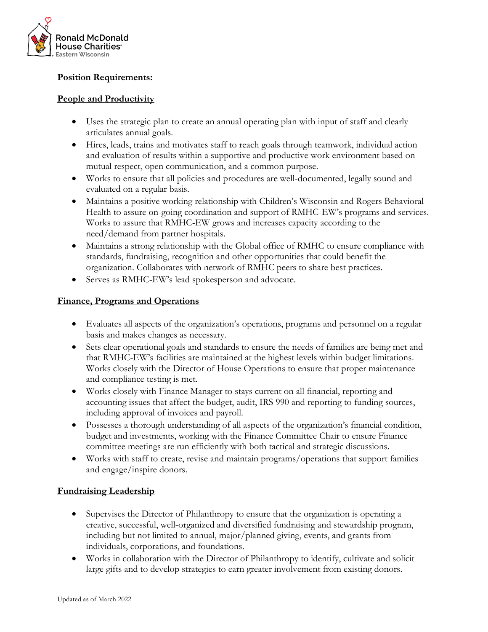

# **Position Requirements:**

# **People and Productivity**

- Uses the strategic plan to create an annual operating plan with input of staff and clearly articulates annual goals.
- Hires, leads, trains and motivates staff to reach goals through teamwork, individual action and evaluation of results within a supportive and productive work environment based on mutual respect, open communication, and a common purpose.
- Works to ensure that all policies and procedures are well-documented, legally sound and evaluated on a regular basis.
- Maintains a positive working relationship with Children's Wisconsin and Rogers Behavioral Health to assure on-going coordination and support of RMHC-EW's programs and services. Works to assure that RMHC-EW grows and increases capacity according to the need/demand from partner hospitals.
- Maintains a strong relationship with the Global office of RMHC to ensure compliance with standards, fundraising, recognition and other opportunities that could benefit the organization. Collaborates with network of RMHC peers to share best practices.
- Serves as RMHC-EW's lead spokesperson and advocate.

## **Finance, Programs and Operations**

- Evaluates all aspects of the organization's operations, programs and personnel on a regular basis and makes changes as necessary.
- Sets clear operational goals and standards to ensure the needs of families are being met and that RMHC-EW's facilities are maintained at the highest levels within budget limitations. Works closely with the Director of House Operations to ensure that proper maintenance and compliance testing is met.
- Works closely with Finance Manager to stays current on all financial, reporting and accounting issues that affect the budget, audit, IRS 990 and reporting to funding sources, including approval of invoices and payroll.
- Possesses a thorough understanding of all aspects of the organization's financial condition, budget and investments, working with the Finance Committee Chair to ensure Finance committee meetings are run efficiently with both tactical and strategic discussions.
- Works with staff to create, revise and maintain programs/operations that support families and engage/inspire donors.

# **Fundraising Leadership**

- Supervises the Director of Philanthropy to ensure that the organization is operating a creative, successful, well-organized and diversified fundraising and stewardship program, including but not limited to annual, major/planned giving, events, and grants from individuals, corporations, and foundations.
- Works in collaboration with the Director of Philanthropy to identify, cultivate and solicit large gifts and to develop strategies to earn greater involvement from existing donors.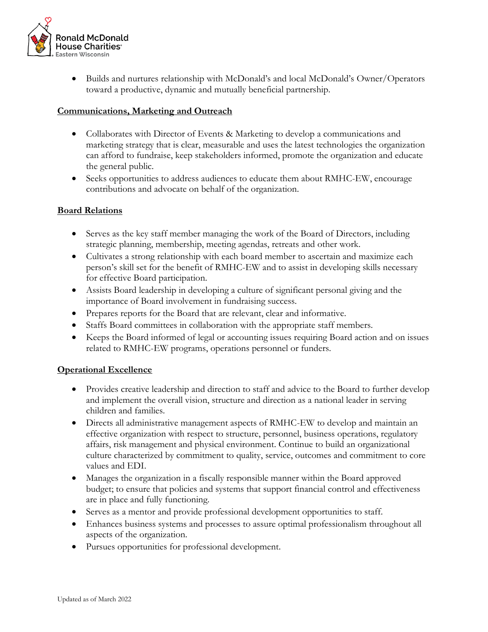

• Builds and nurtures relationship with McDonald's and local McDonald's Owner/Operators toward a productive, dynamic and mutually beneficial partnership.

### **Communications, Marketing and Outreach**

- Collaborates with Director of Events & Marketing to develop a communications and marketing strategy that is clear, measurable and uses the latest technologies the organization can afford to fundraise, keep stakeholders informed, promote the organization and educate the general public.
- Seeks opportunities to address audiences to educate them about RMHC-EW, encourage contributions and advocate on behalf of the organization.

### **Board Relations**

- Serves as the key staff member managing the work of the Board of Directors, including strategic planning, membership, meeting agendas, retreats and other work.
- Cultivates a strong relationship with each board member to ascertain and maximize each person's skill set for the benefit of RMHC-EW and to assist in developing skills necessary for effective Board participation.
- Assists Board leadership in developing a culture of significant personal giving and the importance of Board involvement in fundraising success.
- Prepares reports for the Board that are relevant, clear and informative.
- Staffs Board committees in collaboration with the appropriate staff members.
- Keeps the Board informed of legal or accounting issues requiring Board action and on issues related to RMHC-EW programs, operations personnel or funders.

#### **Operational Excellence**

- Provides creative leadership and direction to staff and advice to the Board to further develop and implement the overall vision, structure and direction as a national leader in serving children and families.
- Directs all administrative management aspects of RMHC-EW to develop and maintain an effective organization with respect to structure, personnel, business operations, regulatory affairs, risk management and physical environment. Continue to build an organizational culture characterized by commitment to quality, service, outcomes and commitment to core values and EDI.
- Manages the organization in a fiscally responsible manner within the Board approved budget; to ensure that policies and systems that support financial control and effectiveness are in place and fully functioning.
- Serves as a mentor and provide professional development opportunities to staff.
- Enhances business systems and processes to assure optimal professionalism throughout all aspects of the organization.
- Pursues opportunities for professional development.